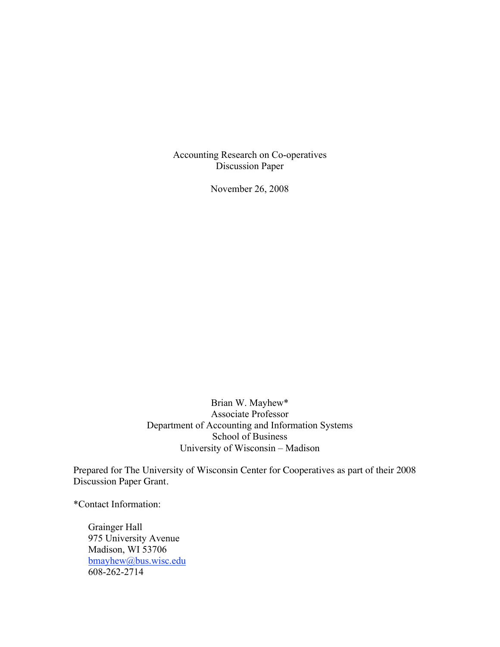Accounting Research on Co-operatives Discussion Paper

November 26, 2008

Brian W. Mayhew\* Associate Professor Department of Accounting and Information Systems School of Business University of Wisconsin – Madison

Prepared for The University of Wisconsin Center for Cooperatives as part of their 2008 Discussion Paper Grant.

\*Contact Information:

Grainger Hall 975 University Avenue Madison, WI 53706 bmayhew@bus.wisc.edu 608-262-2714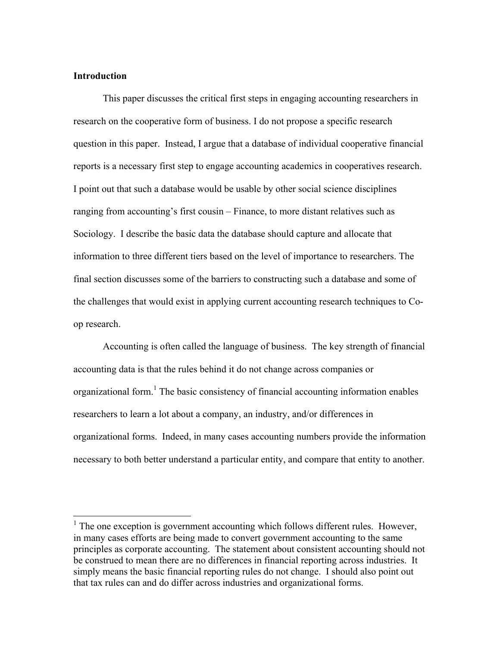## **Introduction**

This paper discusses the critical first steps in engaging accounting researchers in research on the cooperative form of business. I do not propose a specific research question in this paper. Instead, I argue that a database of individual cooperative financial reports is a necessary first step to engage accounting academics in cooperatives research. I point out that such a database would be usable by other social science disciplines ranging from accounting's first cousin – Finance, to more distant relatives such as Sociology. I describe the basic data the database should capture and allocate that information to three different tiers based on the level of importance to researchers. The final section discusses some of the barriers to constructing such a database and some of the challenges that would exist in applying current accounting research techniques to Coop research.

Accounting is often called the language of business. The key strength of financial accounting data is that the rules behind it do not change across companies or organizational form.<sup>1</sup> The basic consistency of financial accounting information enables researchers to learn a lot about a company, an industry, and/or differences in organizational forms. Indeed, in many cases accounting numbers provide the information necessary to both better understand a particular entity, and compare that entity to another.

<sup>&</sup>lt;sup>1</sup> The one exception is government accounting which follows different rules. However, in many cases efforts are being made to convert government accounting to the same principles as corporate accounting. The statement about consistent accounting should not be construed to mean there are no differences in financial reporting across industries. It simply means the basic financial reporting rules do not change. I should also point out that tax rules can and do differ across industries and organizational forms.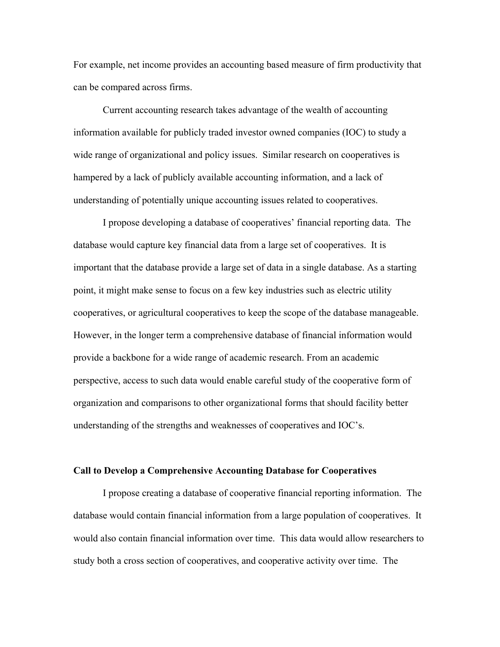For example, net income provides an accounting based measure of firm productivity that can be compared across firms.

Current accounting research takes advantage of the wealth of accounting information available for publicly traded investor owned companies (IOC) to study a wide range of organizational and policy issues. Similar research on cooperatives is hampered by a lack of publicly available accounting information, and a lack of understanding of potentially unique accounting issues related to cooperatives.

I propose developing a database of cooperatives' financial reporting data. The database would capture key financial data from a large set of cooperatives. It is important that the database provide a large set of data in a single database. As a starting point, it might make sense to focus on a few key industries such as electric utility cooperatives, or agricultural cooperatives to keep the scope of the database manageable. However, in the longer term a comprehensive database of financial information would provide a backbone for a wide range of academic research. From an academic perspective, access to such data would enable careful study of the cooperative form of organization and comparisons to other organizational forms that should facility better understanding of the strengths and weaknesses of cooperatives and IOC's.

#### **Call to Develop a Comprehensive Accounting Database for Cooperatives**

I propose creating a database of cooperative financial reporting information. The database would contain financial information from a large population of cooperatives. It would also contain financial information over time. This data would allow researchers to study both a cross section of cooperatives, and cooperative activity over time. The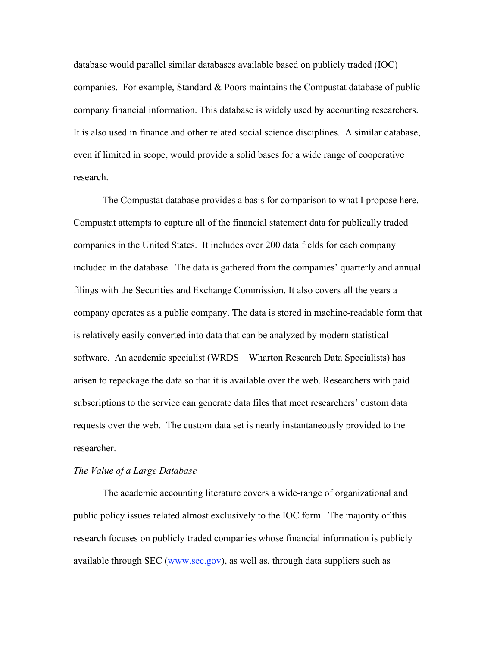database would parallel similar databases available based on publicly traded (IOC) companies. For example, Standard & Poors maintains the Compustat database of public company financial information. This database is widely used by accounting researchers. It is also used in finance and other related social science disciplines. A similar database, even if limited in scope, would provide a solid bases for a wide range of cooperative research.

The Compustat database provides a basis for comparison to what I propose here. Compustat attempts to capture all of the financial statement data for publically traded companies in the United States. It includes over 200 data fields for each company included in the database. The data is gathered from the companies' quarterly and annual filings with the Securities and Exchange Commission. It also covers all the years a company operates as a public company. The data is stored in machine-readable form that is relatively easily converted into data that can be analyzed by modern statistical software. An academic specialist (WRDS – Wharton Research Data Specialists) has arisen to repackage the data so that it is available over the web. Researchers with paid subscriptions to the service can generate data files that meet researchers' custom data requests over the web. The custom data set is nearly instantaneously provided to the researcher.

#### *The Value of a Large Database*

The academic accounting literature covers a wide-range of organizational and public policy issues related almost exclusively to the IOC form. The majority of this research focuses on publicly traded companies whose financial information is publicly available through SEC (www.sec.gov), as well as, through data suppliers such as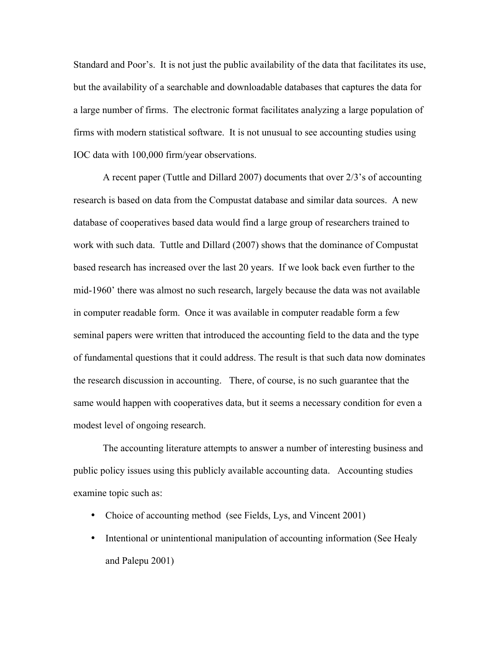Standard and Poor's. It is not just the public availability of the data that facilitates its use, but the availability of a searchable and downloadable databases that captures the data for a large number of firms. The electronic format facilitates analyzing a large population of firms with modern statistical software. It is not unusual to see accounting studies using IOC data with 100,000 firm/year observations.

A recent paper (Tuttle and Dillard 2007) documents that over 2/3's of accounting research is based on data from the Compustat database and similar data sources. A new database of cooperatives based data would find a large group of researchers trained to work with such data. Tuttle and Dillard (2007) shows that the dominance of Compustat based research has increased over the last 20 years. If we look back even further to the mid-1960' there was almost no such research, largely because the data was not available in computer readable form. Once it was available in computer readable form a few seminal papers were written that introduced the accounting field to the data and the type of fundamental questions that it could address. The result is that such data now dominates the research discussion in accounting. There, of course, is no such guarantee that the same would happen with cooperatives data, but it seems a necessary condition for even a modest level of ongoing research.

The accounting literature attempts to answer a number of interesting business and public policy issues using this publicly available accounting data. Accounting studies examine topic such as:

- Choice of accounting method (see Fields, Lys, and Vincent 2001)
- Intentional or unintentional manipulation of accounting information (See Healy and Palepu 2001)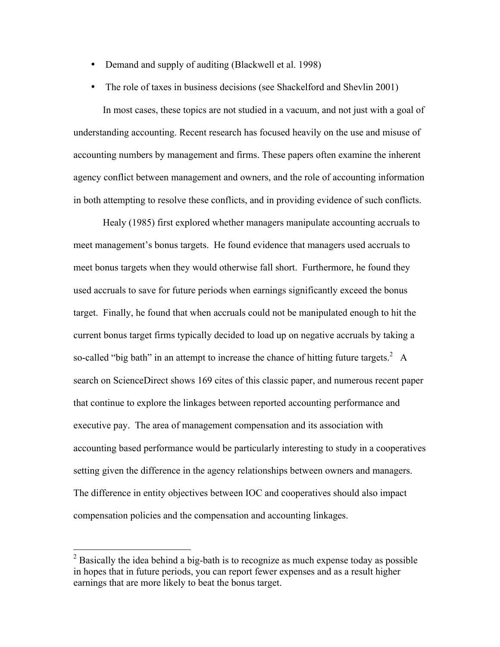- Demand and supply of auditing (Blackwell et al. 1998)
- The role of taxes in business decisions (see Shackelford and Shevlin 2001)

In most cases, these topics are not studied in a vacuum, and not just with a goal of understanding accounting. Recent research has focused heavily on the use and misuse of accounting numbers by management and firms. These papers often examine the inherent agency conflict between management and owners, and the role of accounting information in both attempting to resolve these conflicts, and in providing evidence of such conflicts.

Healy (1985) first explored whether managers manipulate accounting accruals to meet management's bonus targets. He found evidence that managers used accruals to meet bonus targets when they would otherwise fall short. Furthermore, he found they used accruals to save for future periods when earnings significantly exceed the bonus target. Finally, he found that when accruals could not be manipulated enough to hit the current bonus target firms typically decided to load up on negative accruals by taking a so-called "big bath" in an attempt to increase the chance of hitting future targets.<sup>2</sup> A search on ScienceDirect shows 169 cites of this classic paper, and numerous recent paper that continue to explore the linkages between reported accounting performance and executive pay. The area of management compensation and its association with accounting based performance would be particularly interesting to study in a cooperatives setting given the difference in the agency relationships between owners and managers. The difference in entity objectives between IOC and cooperatives should also impact compensation policies and the compensation and accounting linkages.

<sup>&</sup>lt;sup>2</sup> Basically the idea behind a big-bath is to recognize as much expense today as possible in hopes that in future periods, you can report fewer expenses and as a result higher earnings that are more likely to beat the bonus target.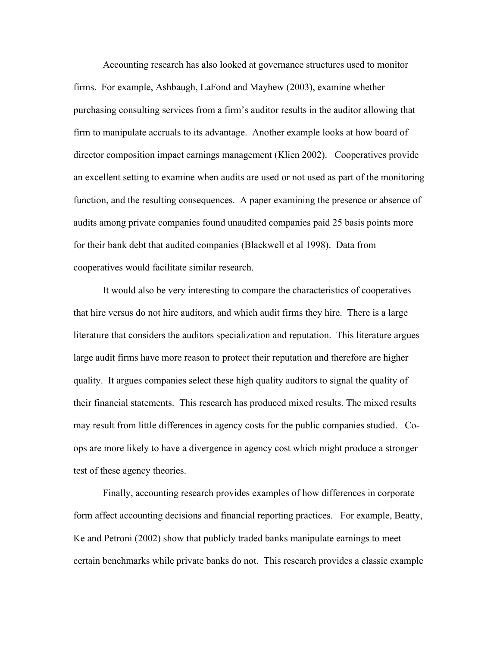Accounting research has also looked at governance structures used to monitor firms. For example, Ashbaugh, LaFond and Mayhew (2003), examine whether purchasing consulting services from a firm's auditor results in the auditor allowing that firm to manipulate accruals to its advantage. Another example looks at how board of director composition impact earnings management (Klien 2002). Cooperatives provide an excellent setting to examine when audits are used or not used as part of the monitoring function, and the resulting consequences. A paper examining the presence or absence of audits among private companies found unaudited companies paid 25 basis points more for their bank debt that audited companies (Blackwell et al 1998). Data from cooperatives would facilitate similar research.

It would also be very interesting to compare the characteristics of cooperatives that hire versus do not hire auditors, and which audit firms they hire. There is a large literature that considers the auditors specialization and reputation. This literature argues large audit firms have more reason to protect their reputation and therefore are higher quality. It argues companies select these high quality auditors to signal the quality of their financial statements. This research has produced mixed results. The mixed results may result from little differences in agency costs for the public companies studied. Coops are more likely to have a divergence in agency cost which might produce a stronger test of these agency theories.

Finally, accounting research provides examples of how differences in corporate form affect accounting decisions and financial reporting practices. For example, Beatty, Ke and Petroni (2002) show that publicly traded banks manipulate earnings to meet certain benchmarks while private banks do not. This research provides a classic example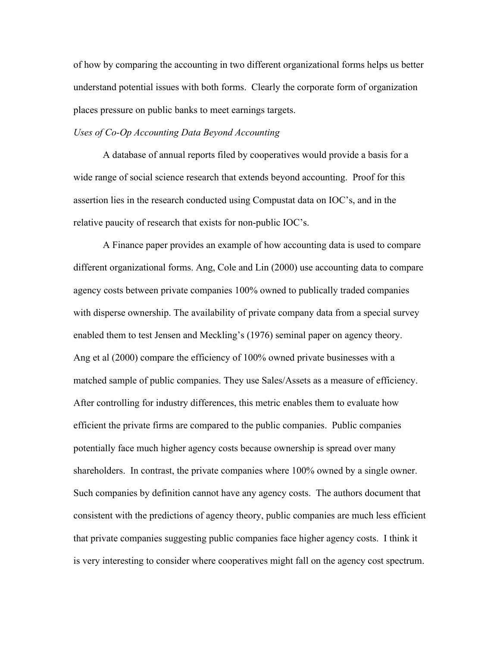of how by comparing the accounting in two different organizational forms helps us better understand potential issues with both forms. Clearly the corporate form of organization places pressure on public banks to meet earnings targets.

# *Uses of Co-Op Accounting Data Beyond Accounting*

A database of annual reports filed by cooperatives would provide a basis for a wide range of social science research that extends beyond accounting. Proof for this assertion lies in the research conducted using Compustat data on IOC's, and in the relative paucity of research that exists for non-public IOC's.

A Finance paper provides an example of how accounting data is used to compare different organizational forms. Ang, Cole and Lin (2000) use accounting data to compare agency costs between private companies 100% owned to publically traded companies with disperse ownership. The availability of private company data from a special survey enabled them to test Jensen and Meckling's (1976) seminal paper on agency theory. Ang et al (2000) compare the efficiency of 100% owned private businesses with a matched sample of public companies. They use Sales/Assets as a measure of efficiency. After controlling for industry differences, this metric enables them to evaluate how efficient the private firms are compared to the public companies. Public companies potentially face much higher agency costs because ownership is spread over many shareholders. In contrast, the private companies where 100% owned by a single owner. Such companies by definition cannot have any agency costs. The authors document that consistent with the predictions of agency theory, public companies are much less efficient that private companies suggesting public companies face higher agency costs. I think it is very interesting to consider where cooperatives might fall on the agency cost spectrum.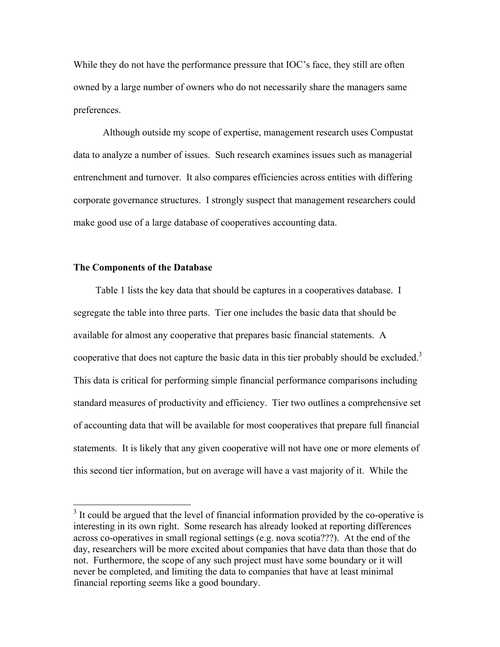While they do not have the performance pressure that IOC's face, they still are often owned by a large number of owners who do not necessarily share the managers same preferences.

Although outside my scope of expertise, management research uses Compustat data to analyze a number of issues. Such research examines issues such as managerial entrenchment and turnover. It also compares efficiencies across entities with differing corporate governance structures. I strongly suspect that management researchers could make good use of a large database of cooperatives accounting data.

## **The Components of the Database**

Table 1 lists the key data that should be captures in a cooperatives database. I segregate the table into three parts. Tier one includes the basic data that should be available for almost any cooperative that prepares basic financial statements. A cooperative that does not capture the basic data in this tier probably should be excluded.<sup>3</sup> This data is critical for performing simple financial performance comparisons including standard measures of productivity and efficiency. Tier two outlines a comprehensive set of accounting data that will be available for most cooperatives that prepare full financial statements. It is likely that any given cooperative will not have one or more elements of this second tier information, but on average will have a vast majority of it. While the

<sup>&</sup>lt;sup>3</sup> It could be argued that the level of financial information provided by the co-operative is interesting in its own right. Some research has already looked at reporting differences across co-operatives in small regional settings (e.g. nova scotia???). At the end of the day, researchers will be more excited about companies that have data than those that do not. Furthermore, the scope of any such project must have some boundary or it will never be completed, and limiting the data to companies that have at least minimal financial reporting seems like a good boundary.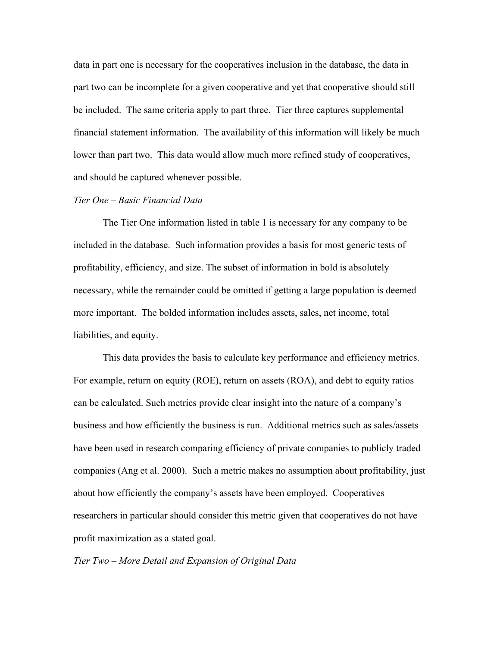data in part one is necessary for the cooperatives inclusion in the database, the data in part two can be incomplete for a given cooperative and yet that cooperative should still be included. The same criteria apply to part three. Tier three captures supplemental financial statement information. The availability of this information will likely be much lower than part two. This data would allow much more refined study of cooperatives, and should be captured whenever possible.

## *Tier One – Basic Financial Data*

The Tier One information listed in table 1 is necessary for any company to be included in the database. Such information provides a basis for most generic tests of profitability, efficiency, and size. The subset of information in bold is absolutely necessary, while the remainder could be omitted if getting a large population is deemed more important. The bolded information includes assets, sales, net income, total liabilities, and equity.

This data provides the basis to calculate key performance and efficiency metrics. For example, return on equity (ROE), return on assets (ROA), and debt to equity ratios can be calculated. Such metrics provide clear insight into the nature of a company's business and how efficiently the business is run. Additional metrics such as sales/assets have been used in research comparing efficiency of private companies to publicly traded companies (Ang et al. 2000). Such a metric makes no assumption about profitability, just about how efficiently the company's assets have been employed. Cooperatives researchers in particular should consider this metric given that cooperatives do not have profit maximization as a stated goal.

*Tier Two – More Detail and Expansion of Original Data*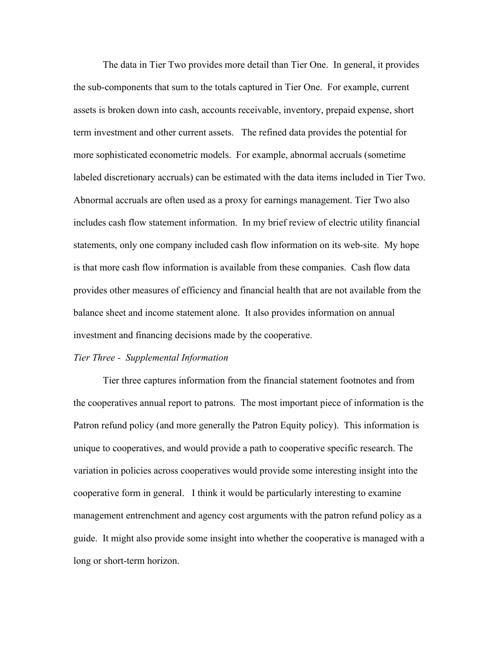The data in Tier Two provides more detail than Tier One. In general, it provides the sub-components that sum to the totals captured in Tier One. For example, current assets is broken down into cash, accounts receivable, inventory, prepaid expense, short term investment and other current assets. The refined data provides the potential for more sophisticated econometric models. For example, abnormal accruals (sometime labeled discretionary accruals) can be estimated with the data items included in Tier Two. Abnormal accruals are often used as a proxy for earnings management. Tier Two also includes cash flow statement information. In my brief review of electric utility financial statements, only one company included cash flow information on its web-site. My hope is that more cash flow information is available from these companies. Cash flow data provides other measures of efficiency and financial health that are not available from the balance sheet and income statement alone. It also provides information on annual investment and financing decisions made by the cooperative.

#### *Tier Three - Supplemental Information*

Tier three captures information from the financial statement footnotes and from the cooperatives annual report to patrons. The most important piece of information is the Patron refund policy (and more generally the Patron Equity policy). This information is unique to cooperatives, and would provide a path to cooperative specific research. The variation in policies across cooperatives would provide some interesting insight into the cooperative form in general. I think it would be particularly interesting to examine management entrenchment and agency cost arguments with the patron refund policy as a guide. It might also provide some insight into whether the cooperative is managed with a long or short-term horizon.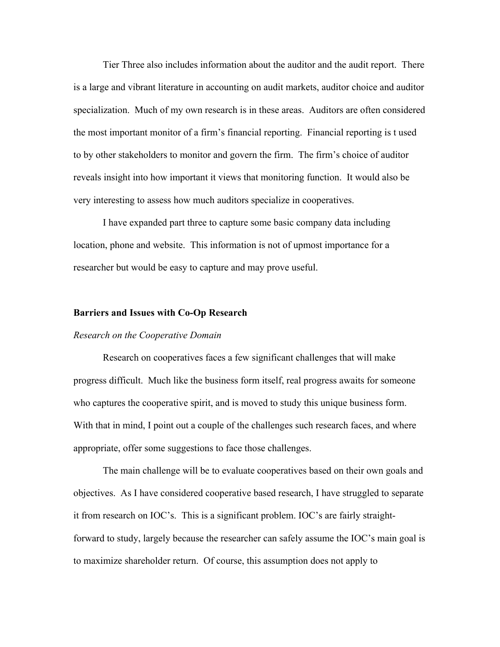Tier Three also includes information about the auditor and the audit report. There is a large and vibrant literature in accounting on audit markets, auditor choice and auditor specialization. Much of my own research is in these areas. Auditors are often considered the most important monitor of a firm's financial reporting. Financial reporting is t used to by other stakeholders to monitor and govern the firm. The firm's choice of auditor reveals insight into how important it views that monitoring function. It would also be very interesting to assess how much auditors specialize in cooperatives.

I have expanded part three to capture some basic company data including location, phone and website. This information is not of upmost importance for a researcher but would be easy to capture and may prove useful.

### **Barriers and Issues with Co-Op Research**

#### *Research on the Cooperative Domain*

Research on cooperatives faces a few significant challenges that will make progress difficult. Much like the business form itself, real progress awaits for someone who captures the cooperative spirit, and is moved to study this unique business form. With that in mind, I point out a couple of the challenges such research faces, and where appropriate, offer some suggestions to face those challenges.

The main challenge will be to evaluate cooperatives based on their own goals and objectives. As I have considered cooperative based research, I have struggled to separate it from research on IOC's. This is a significant problem. IOC's are fairly straightforward to study, largely because the researcher can safely assume the IOC's main goal is to maximize shareholder return. Of course, this assumption does not apply to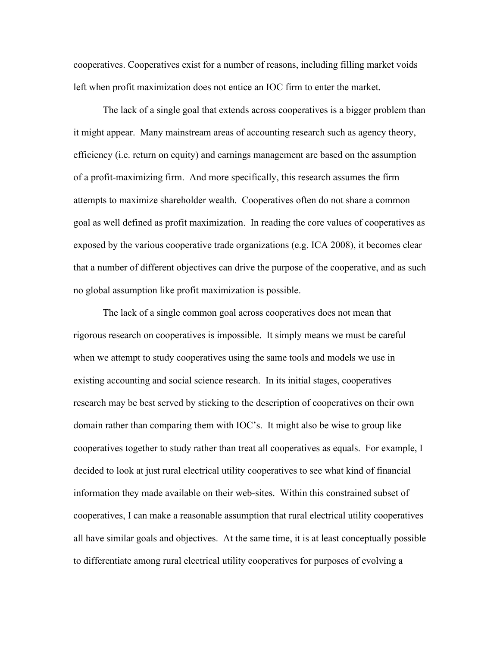cooperatives. Cooperatives exist for a number of reasons, including filling market voids left when profit maximization does not entice an IOC firm to enter the market.

The lack of a single goal that extends across cooperatives is a bigger problem than it might appear. Many mainstream areas of accounting research such as agency theory, efficiency (i.e. return on equity) and earnings management are based on the assumption of a profit-maximizing firm. And more specifically, this research assumes the firm attempts to maximize shareholder wealth. Cooperatives often do not share a common goal as well defined as profit maximization. In reading the core values of cooperatives as exposed by the various cooperative trade organizations (e.g. ICA 2008), it becomes clear that a number of different objectives can drive the purpose of the cooperative, and as such no global assumption like profit maximization is possible.

The lack of a single common goal across cooperatives does not mean that rigorous research on cooperatives is impossible. It simply means we must be careful when we attempt to study cooperatives using the same tools and models we use in existing accounting and social science research. In its initial stages, cooperatives research may be best served by sticking to the description of cooperatives on their own domain rather than comparing them with IOC's. It might also be wise to group like cooperatives together to study rather than treat all cooperatives as equals. For example, I decided to look at just rural electrical utility cooperatives to see what kind of financial information they made available on their web-sites. Within this constrained subset of cooperatives, I can make a reasonable assumption that rural electrical utility cooperatives all have similar goals and objectives. At the same time, it is at least conceptually possible to differentiate among rural electrical utility cooperatives for purposes of evolving a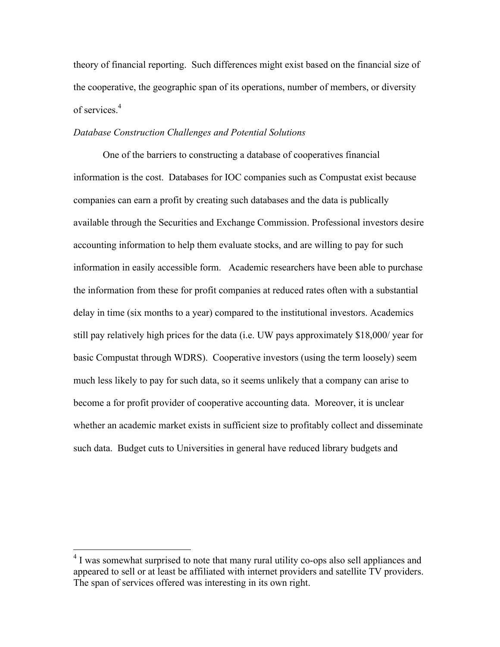theory of financial reporting. Such differences might exist based on the financial size of the cooperative, the geographic span of its operations, number of members, or diversity of services.<sup>4</sup>

## *Database Construction Challenges and Potential Solutions*

One of the barriers to constructing a database of cooperatives financial information is the cost. Databases for IOC companies such as Compustat exist because companies can earn a profit by creating such databases and the data is publically available through the Securities and Exchange Commission. Professional investors desire accounting information to help them evaluate stocks, and are willing to pay for such information in easily accessible form. Academic researchers have been able to purchase the information from these for profit companies at reduced rates often with a substantial delay in time (six months to a year) compared to the institutional investors. Academics still pay relatively high prices for the data (i.e. UW pays approximately \$18,000/ year for basic Compustat through WDRS). Cooperative investors (using the term loosely) seem much less likely to pay for such data, so it seems unlikely that a company can arise to become a for profit provider of cooperative accounting data. Moreover, it is unclear whether an academic market exists in sufficient size to profitably collect and disseminate such data. Budget cuts to Universities in general have reduced library budgets and

<sup>&</sup>lt;sup>4</sup> I was somewhat surprised to note that many rural utility co-ops also sell appliances and appeared to sell or at least be affiliated with internet providers and satellite TV providers. The span of services offered was interesting in its own right.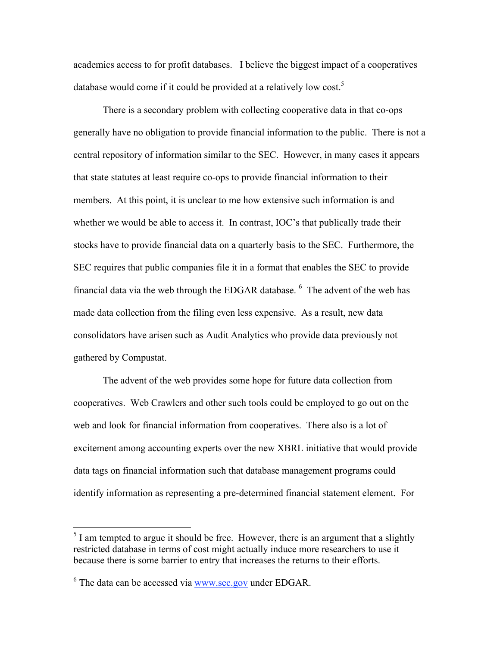academics access to for profit databases. I believe the biggest impact of a cooperatives database would come if it could be provided at a relatively low cost.<sup>5</sup>

There is a secondary problem with collecting cooperative data in that co-ops generally have no obligation to provide financial information to the public. There is not a central repository of information similar to the SEC. However, in many cases it appears that state statutes at least require co-ops to provide financial information to their members. At this point, it is unclear to me how extensive such information is and whether we would be able to access it. In contrast, IOC's that publically trade their stocks have to provide financial data on a quarterly basis to the SEC. Furthermore, the SEC requires that public companies file it in a format that enables the SEC to provide financial data via the web through the EDGAR database.  $6\text{ The advent of the web has }$ made data collection from the filing even less expensive. As a result, new data consolidators have arisen such as Audit Analytics who provide data previously not gathered by Compustat.

The advent of the web provides some hope for future data collection from cooperatives. Web Crawlers and other such tools could be employed to go out on the web and look for financial information from cooperatives. There also is a lot of excitement among accounting experts over the new XBRL initiative that would provide data tags on financial information such that database management programs could identify information as representing a pre-determined financial statement element. For

<sup>&</sup>lt;sup>5</sup> I am tempted to argue it should be free. However, there is an argument that a slightly restricted database in terms of cost might actually induce more researchers to use it because there is some barrier to entry that increases the returns to their efforts.

 $6$  The data can be accessed via  $\frac{www\text{ sec.gov}}{www\text{ sec.gov}}$  under EDGAR.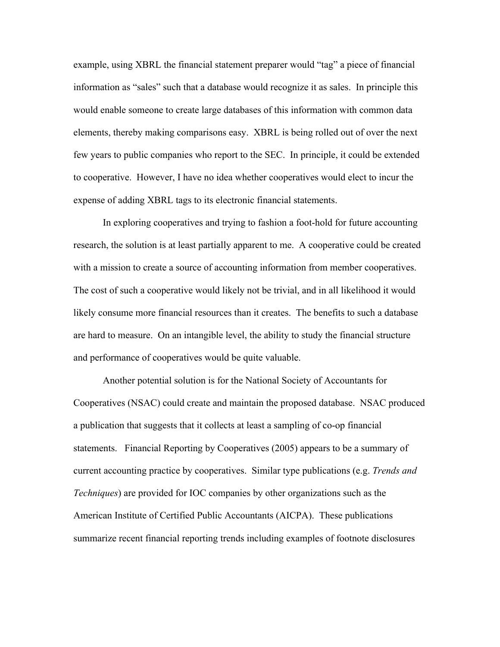example, using XBRL the financial statement preparer would "tag" a piece of financial information as "sales" such that a database would recognize it as sales. In principle this would enable someone to create large databases of this information with common data elements, thereby making comparisons easy. XBRL is being rolled out of over the next few years to public companies who report to the SEC. In principle, it could be extended to cooperative. However, I have no idea whether cooperatives would elect to incur the expense of adding XBRL tags to its electronic financial statements.

In exploring cooperatives and trying to fashion a foot-hold for future accounting research, the solution is at least partially apparent to me. A cooperative could be created with a mission to create a source of accounting information from member cooperatives. The cost of such a cooperative would likely not be trivial, and in all likelihood it would likely consume more financial resources than it creates. The benefits to such a database are hard to measure. On an intangible level, the ability to study the financial structure and performance of cooperatives would be quite valuable.

Another potential solution is for the National Society of Accountants for Cooperatives (NSAC) could create and maintain the proposed database. NSAC produced a publication that suggests that it collects at least a sampling of co-op financial statements. Financial Reporting by Cooperatives (2005) appears to be a summary of current accounting practice by cooperatives. Similar type publications (e.g. *Trends and Techniques*) are provided for IOC companies by other organizations such as the American Institute of Certified Public Accountants (AICPA). These publications summarize recent financial reporting trends including examples of footnote disclosures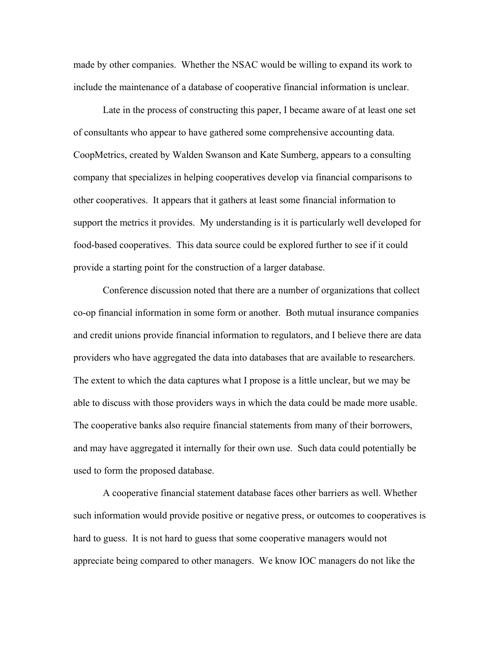made by other companies. Whether the NSAC would be willing to expand its work to include the maintenance of a database of cooperative financial information is unclear.

Late in the process of constructing this paper, I became aware of at least one set of consultants who appear to have gathered some comprehensive accounting data. CoopMetrics, created by Walden Swanson and Kate Sumberg, appears to a consulting company that specializes in helping cooperatives develop via financial comparisons to other cooperatives. It appears that it gathers at least some financial information to support the metrics it provides. My understanding is it is particularly well developed for food-based cooperatives. This data source could be explored further to see if it could provide a starting point for the construction of a larger database.

Conference discussion noted that there are a number of organizations that collect co-op financial information in some form or another. Both mutual insurance companies and credit unions provide financial information to regulators, and I believe there are data providers who have aggregated the data into databases that are available to researchers. The extent to which the data captures what I propose is a little unclear, but we may be able to discuss with those providers ways in which the data could be made more usable. The cooperative banks also require financial statements from many of their borrowers, and may have aggregated it internally for their own use. Such data could potentially be used to form the proposed database.

A cooperative financial statement database faces other barriers as well. Whether such information would provide positive or negative press, or outcomes to cooperatives is hard to guess. It is not hard to guess that some cooperative managers would not appreciate being compared to other managers. We know IOC managers do not like the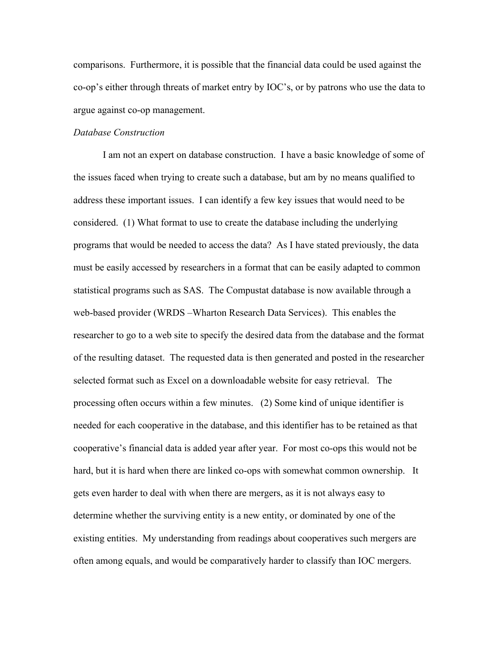comparisons. Furthermore, it is possible that the financial data could be used against the co-op's either through threats of market entry by IOC's, or by patrons who use the data to argue against co-op management.

### *Database Construction*

I am not an expert on database construction. I have a basic knowledge of some of the issues faced when trying to create such a database, but am by no means qualified to address these important issues. I can identify a few key issues that would need to be considered. (1) What format to use to create the database including the underlying programs that would be needed to access the data? As I have stated previously, the data must be easily accessed by researchers in a format that can be easily adapted to common statistical programs such as SAS. The Compustat database is now available through a web-based provider (WRDS –Wharton Research Data Services). This enables the researcher to go to a web site to specify the desired data from the database and the format of the resulting dataset. The requested data is then generated and posted in the researcher selected format such as Excel on a downloadable website for easy retrieval. The processing often occurs within a few minutes. (2) Some kind of unique identifier is needed for each cooperative in the database, and this identifier has to be retained as that cooperative's financial data is added year after year. For most co-ops this would not be hard, but it is hard when there are linked co-ops with somewhat common ownership. It gets even harder to deal with when there are mergers, as it is not always easy to determine whether the surviving entity is a new entity, or dominated by one of the existing entities. My understanding from readings about cooperatives such mergers are often among equals, and would be comparatively harder to classify than IOC mergers.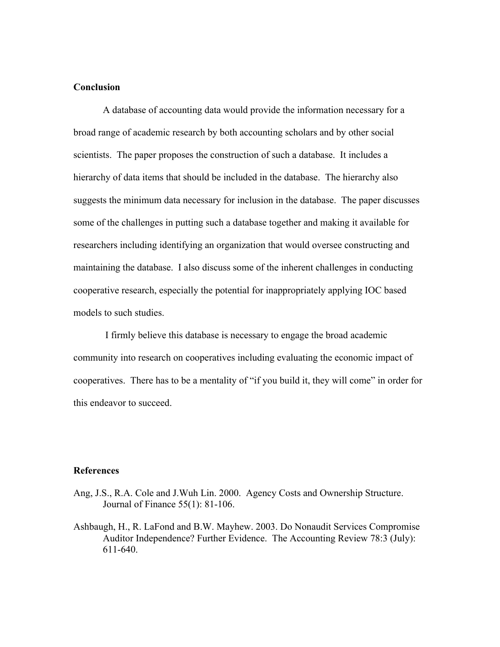# **Conclusion**

A database of accounting data would provide the information necessary for a broad range of academic research by both accounting scholars and by other social scientists. The paper proposes the construction of such a database. It includes a hierarchy of data items that should be included in the database. The hierarchy also suggests the minimum data necessary for inclusion in the database. The paper discusses some of the challenges in putting such a database together and making it available for researchers including identifying an organization that would oversee constructing and maintaining the database. I also discuss some of the inherent challenges in conducting cooperative research, especially the potential for inappropriately applying IOC based models to such studies.

 I firmly believe this database is necessary to engage the broad academic community into research on cooperatives including evaluating the economic impact of cooperatives. There has to be a mentality of "if you build it, they will come" in order for this endeavor to succeed.

#### **References**

- Ang, J.S., R.A. Cole and J.Wuh Lin. 2000. Agency Costs and Ownership Structure. Journal of Finance 55(1): 81-106.
- Ashbaugh, H., R. LaFond and B.W. Mayhew. 2003. Do Nonaudit Services Compromise Auditor Independence? Further Evidence. The Accounting Review 78:3 (July): 611-640.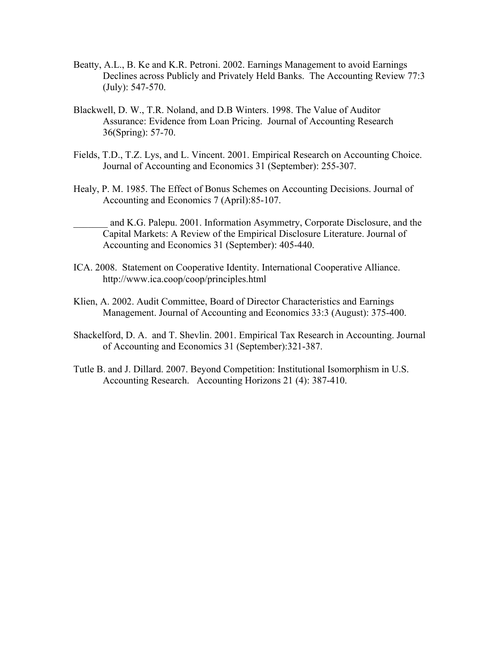- Beatty, A.L., B. Ke and K.R. Petroni. 2002. Earnings Management to avoid Earnings Declines across Publicly and Privately Held Banks. The Accounting Review 77:3 (July): 547-570.
- Blackwell, D. W., T.R. Noland, and D.B Winters. 1998. The Value of Auditor Assurance: Evidence from Loan Pricing. Journal of Accounting Research 36(Spring): 57-70.
- Fields, T.D., T.Z. Lys, and L. Vincent. 2001. Empirical Research on Accounting Choice. Journal of Accounting and Economics 31 (September): 255-307.
- Healy, P. M. 1985. The Effect of Bonus Schemes on Accounting Decisions. Journal of Accounting and Economics 7 (April):85-107.
	- \_\_\_\_\_\_\_ and K.G. Palepu. 2001. Information Asymmetry, Corporate Disclosure, and the Capital Markets: A Review of the Empirical Disclosure Literature. Journal of Accounting and Economics 31 (September): 405-440.
- ICA. 2008. Statement on Cooperative Identity. International Cooperative Alliance. http://www.ica.coop/coop/principles.html
- Klien, A. 2002. Audit Committee, Board of Director Characteristics and Earnings Management. Journal of Accounting and Economics 33:3 (August): 375-400.
- Shackelford, D. A. and T. Shevlin. 2001. Empirical Tax Research in Accounting. Journal of Accounting and Economics 31 (September):321-387.
- Tutle B. and J. Dillard. 2007. Beyond Competition: Institutional Isomorphism in U.S. Accounting Research. Accounting Horizons 21 (4): 387-410.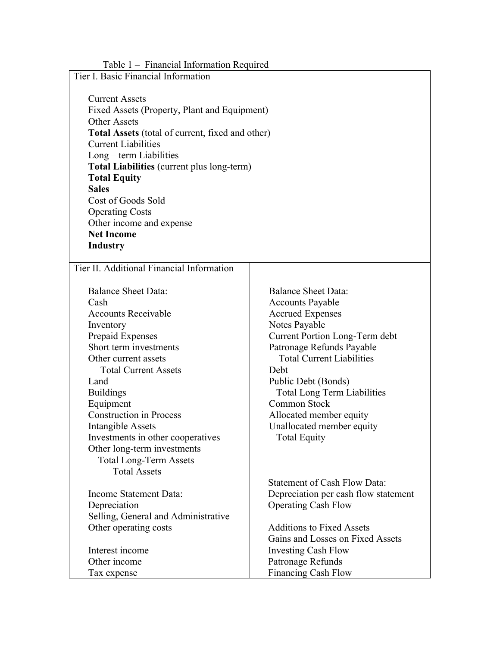| Table 1 – Financial Information Required                |                                      |
|---------------------------------------------------------|--------------------------------------|
| Tier I. Basic Financial Information                     |                                      |
|                                                         |                                      |
| <b>Current Assets</b>                                   |                                      |
| Fixed Assets (Property, Plant and Equipment)            |                                      |
| <b>Other Assets</b>                                     |                                      |
| <b>Total Assets</b> (total of current, fixed and other) |                                      |
| <b>Current Liabilities</b>                              |                                      |
| $Long - term Liabilities$                               |                                      |
| <b>Total Liabilities</b> (current plus long-term)       |                                      |
| <b>Total Equity</b>                                     |                                      |
| <b>Sales</b>                                            |                                      |
| Cost of Goods Sold                                      |                                      |
| <b>Operating Costs</b>                                  |                                      |
| Other income and expense                                |                                      |
| <b>Net Income</b>                                       |                                      |
| <b>Industry</b>                                         |                                      |
|                                                         |                                      |
| Tier II. Additional Financial Information               |                                      |
|                                                         |                                      |
| <b>Balance Sheet Data:</b>                              | <b>Balance Sheet Data:</b>           |
| Cash                                                    | <b>Accounts Payable</b>              |
| <b>Accounts Receivable</b>                              | <b>Accrued Expenses</b>              |
| Inventory                                               | Notes Payable                        |
| Prepaid Expenses                                        | Current Portion Long-Term debt       |
| Short term investments                                  | Patronage Refunds Payable            |
| Other current assets                                    | <b>Total Current Liabilities</b>     |
| <b>Total Current Assets</b>                             | Debt                                 |
| Land                                                    | Public Debt (Bonds)                  |
| <b>Buildings</b>                                        | <b>Total Long Term Liabilities</b>   |
| Equipment                                               | Common Stock                         |
| <b>Construction in Process</b>                          | Allocated member equity              |
| <b>Intangible Assets</b>                                | Unallocated member equity            |
| Investments in other cooperatives                       | <b>Total Equity</b>                  |
| Other long-term investments                             |                                      |
|                                                         |                                      |
| <b>Total Long-Term Assets</b><br><b>Total Assets</b>    |                                      |
|                                                         | <b>Statement of Cash Flow Data:</b>  |
|                                                         |                                      |
| Income Statement Data:                                  | Depreciation per cash flow statement |
| Depreciation                                            | <b>Operating Cash Flow</b>           |
| Selling, General and Administrative                     |                                      |
| Other operating costs                                   | <b>Additions to Fixed Assets</b>     |
|                                                         | Gains and Losses on Fixed Assets     |
| Interest income                                         | <b>Investing Cash Flow</b>           |
| Other income                                            | Patronage Refunds                    |
| Tax expense                                             | Financing Cash Flow                  |